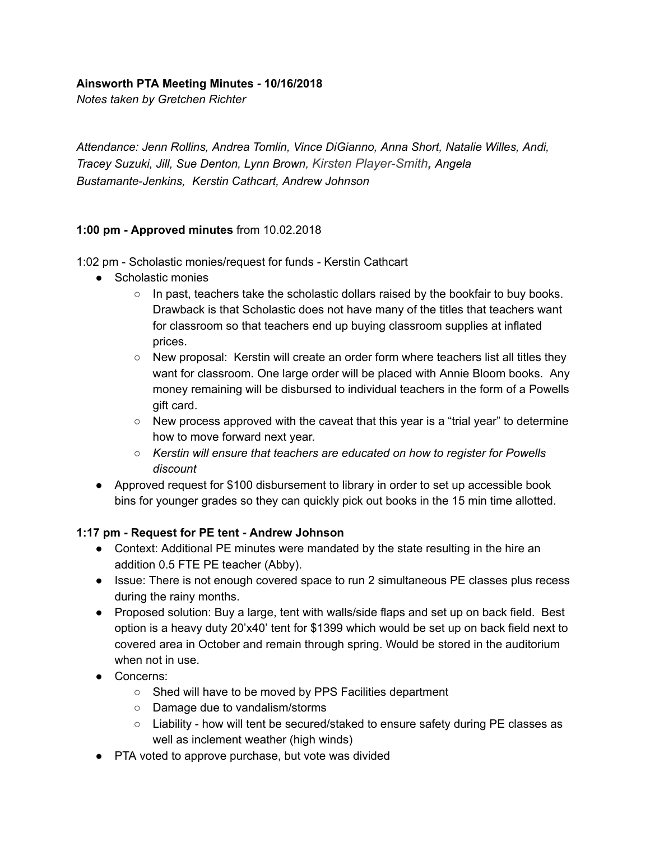## **Ainsworth PTA Meeting Minutes - 10/16/2018**

*Notes taken by Gretchen Richter*

*Attendance: Jenn Rollins, Andrea Tomlin, Vince DiGianno, Anna Short, Natalie Willes, Andi, Tracey Suzuki, Jill, Sue Denton, Lynn Brown, Kirsten Player-Smith , Angela Bustamante-Jenkins, Kerstin Cathcart, Andrew Johnson*

### **1:00 pm - Approved minutes** from 10.02.2018

1:02 pm - Scholastic monies/request for funds - Kerstin Cathcart

- Scholastic monies
	- $\circ$  In past, teachers take the scholastic dollars raised by the bookfair to buy books. Drawback is that Scholastic does not have many of the titles that teachers want for classroom so that teachers end up buying classroom supplies at inflated prices.
	- $\circ$  New proposal: Kerstin will create an order form where teachers list all titles they want for classroom. One large order will be placed with Annie Bloom books. Any money remaining will be disbursed to individual teachers in the form of a Powells gift card.
	- $\circ$  New process approved with the caveat that this year is a "trial year" to determine how to move forward next year.
	- *○ Kerstin will ensure that teachers are educated on how to register for Powells discount*
- Approved request for \$100 disbursement to library in order to set up accessible book bins for younger grades so they can quickly pick out books in the 15 min time allotted.

### **1:17 pm - Request for PE tent - Andrew Johnson**

- Context: Additional PE minutes were mandated by the state resulting in the hire an addition 0.5 FTE PE teacher (Abby).
- Issue: There is not enough covered space to run 2 simultaneous PE classes plus recess during the rainy months.
- Proposed solution: Buy a large, tent with walls/side flaps and set up on back field. Best option is a heavy duty 20'x40' tent for \$1399 which would be set up on back field next to covered area in October and remain through spring. Would be stored in the auditorium when not in use.
- Concerns:
	- Shed will have to be moved by PPS Facilities department
	- Damage due to vandalism/storms
	- Liability how will tent be secured/staked to ensure safety during PE classes as well as inclement weather (high winds)
- PTA voted to approve purchase, but vote was divided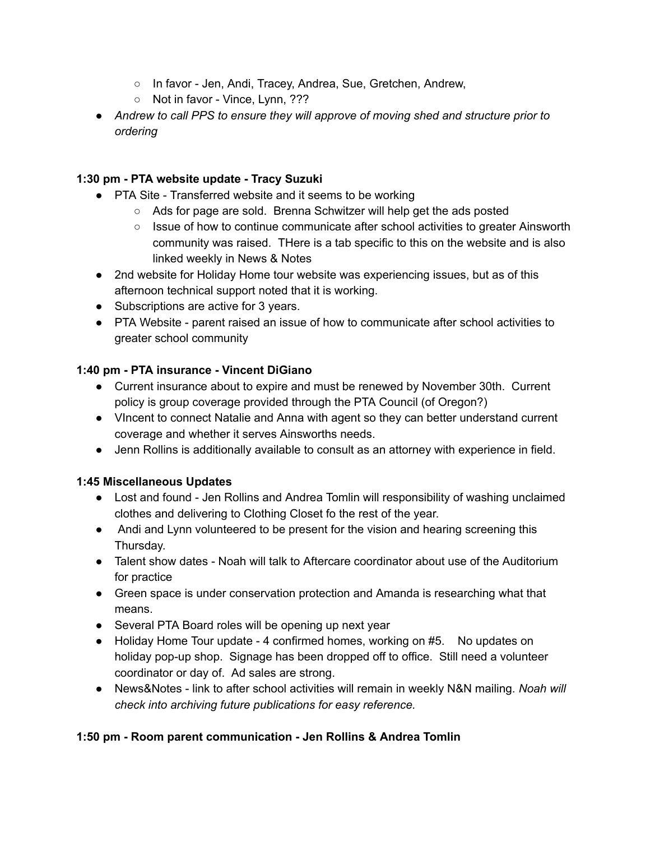- In favor Jen, Andi, Tracey, Andrea, Sue, Gretchen, Andrew,
- Not in favor Vince, Lynn, ???
- *● Andrew to call PPS to ensure they will approve of moving shed and structure prior to ordering*

## **1:30 pm - PTA website update - Tracy Suzuki**

- PTA Site Transferred website and it seems to be working
	- Ads for page are sold. Brenna Schwitzer will help get the ads posted
	- Issue of how to continue communicate after school activities to greater Ainsworth community was raised. THere is a tab specific to this on the website and is also linked weekly in News & Notes
- 2nd website for Holiday Home tour website was experiencing issues, but as of this afternoon technical support noted that it is working.
- Subscriptions are active for 3 years.
- PTA Website parent raised an issue of how to communicate after school activities to greater school community

## **1:40 pm - PTA insurance - Vincent DiGiano**

- Current insurance about to expire and must be renewed by November 30th. Current policy is group coverage provided through the PTA Council (of Oregon?)
- VIncent to connect Natalie and Anna with agent so they can better understand current coverage and whether it serves Ainsworths needs.
- Jenn Rollins is additionally available to consult as an attorney with experience in field.

# **1:45 Miscellaneous Updates**

- Lost and found Jen Rollins and Andrea Tomlin will responsibility of washing unclaimed clothes and delivering to Clothing Closet fo the rest of the year.
- Andi and Lynn volunteered to be present for the vision and hearing screening this Thursday.
- Talent show dates Noah will talk to Aftercare coordinator about use of the Auditorium for practice
- Green space is under conservation protection and Amanda is researching what that means.
- Several PTA Board roles will be opening up next year
- Holiday Home Tour update 4 confirmed homes, working on #5. No updates on holiday pop-up shop. Signage has been dropped off to office. Still need a volunteer coordinator or day of. Ad sales are strong.
- News&Notes link to after school activities will remain in weekly N&N mailing. *Noah will check into archiving future publications for easy reference.*

### **1:50 pm - Room parent communication - Jen Rollins & Andrea Tomlin**